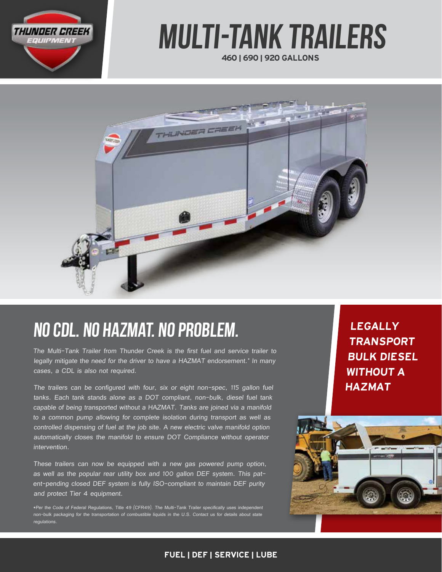

# Multi-Tank Trailers

460 | 690 | 920 GALLONS



## NO CDL. NO HAZMAT. NO PROBLEM.

The Multi-Tank Trailer from Thunder Creek is the first fuel and service trailer to legally mitigate the need for the driver to have a HAZMAT endorsement.\* In many cases, a CDL is also not required.

The trailers can be configured with four, six or eight non-spec, 115 gallon fuel tanks. Each tank stands alone as a DOT compliant, non-bulk, diesel fuel tank capable of being transported without a HAZMAT. Tanks are joined via a manifold to a common pump allowing for complete isolation during transport as well as controlled dispensing of fuel at the job site. A new electric valve manifold option automatically closes the manifold to ensure DOT Compliance without operator intervention.

These trailers can now be equipped with a new gas powered pump option, as well as the popular rear utility box and 100 gallon DEF system. This patent-pending closed DEF system is fully ISO-compliant to maintain DEF purity and protect Tier 4 equipment.

\*Per the Code of Federal Regulations, Title 49 (CFR49). The Multi-Tank Trailer specifically uses independent non-bulk packaging for the transportation of combustible liquids in the U.S. Contact us for details about state **regulations**.

LEGALLY TRANSPORT BULK DIESEL WITHOUT A HAZMAT



#### FUEL | DEF | SERVICE | LUBE